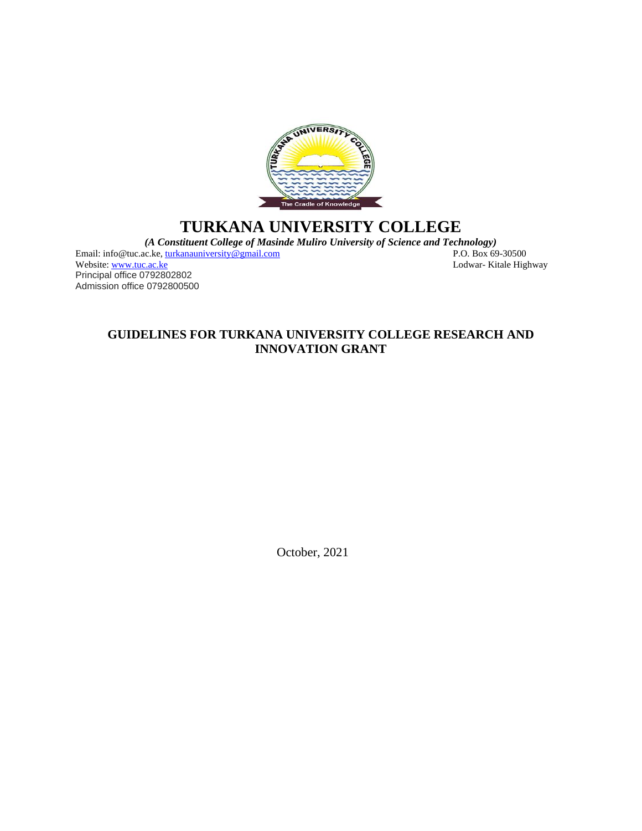

# **TURKANA UNIVERSITY COLLEGE**

*(A Constituent College of Masinde Muliro University of Science and Technology)*

Lodwar- Kitale Highway

Email: info@tuc.ac.ke[, turkanauniversity@gmail.com](mailto:turkanauniversity@gmail.com)<br>Website: www.tuc.ac.ke Principal office 0792802802 Admission office 0792800500

### **GUIDELINES FOR TURKANA UNIVERSITY COLLEGE RESEARCH AND INNOVATION GRANT**

October, 2021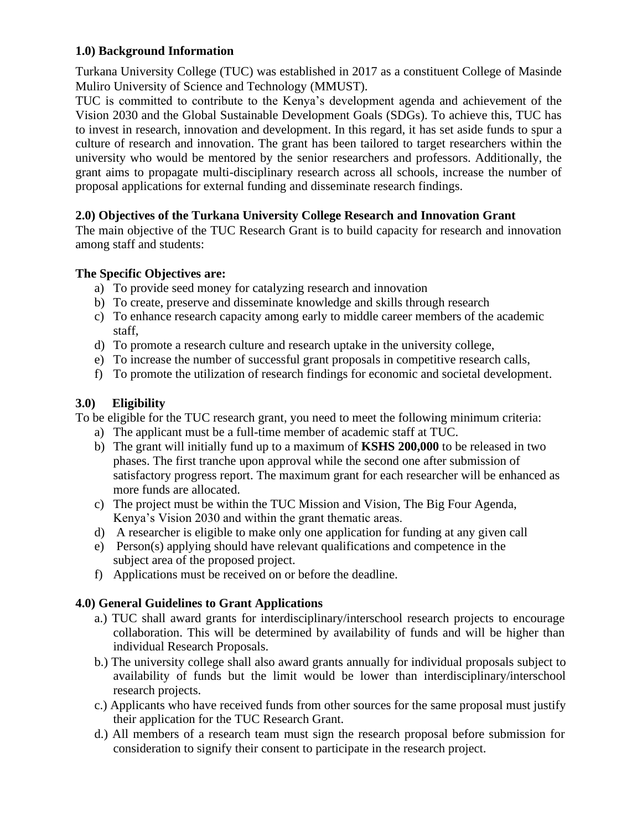### **1.0) Background Information**

Turkana University College (TUC) was established in 2017 as a constituent College of Masinde Muliro University of Science and Technology (MMUST).

TUC is committed to contribute to the Kenya's development agenda and achievement of the Vision 2030 and the Global Sustainable Development Goals (SDGs). To achieve this, TUC has to invest in research, innovation and development. In this regard, it has set aside funds to spur a culture of research and innovation. The grant has been tailored to target researchers within the university who would be mentored by the senior researchers and professors. Additionally, the grant aims to propagate multi-disciplinary research across all schools, increase the number of proposal applications for external funding and disseminate research findings.

# **2.0) Objectives of the Turkana University College Research and Innovation Grant**

The main objective of the TUC Research Grant is to build capacity for research and innovation among staff and students:

# **The Specific Objectives are:**

- a) To provide seed money for catalyzing research and innovation
- b) To create, preserve and disseminate knowledge and skills through research
- c) To enhance research capacity among early to middle career members of the academic staff,
- d) To promote a research culture and research uptake in the university college,
- e) To increase the number of successful grant proposals in competitive research calls,
- f) To promote the utilization of research findings for economic and societal development.

# **3.0) Eligibility**

To be eligible for the TUC research grant, you need to meet the following minimum criteria:

- a) The applicant must be a full-time member of academic staff at TUC.
- b) The grant will initially fund up to a maximum of **KSHS 200,000** to be released in two phases. The first tranche upon approval while the second one after submission of satisfactory progress report. The maximum grant for each researcher will be enhanced as more funds are allocated.
- c) The project must be within the TUC Mission and Vision, The Big Four Agenda, Kenya's Vision 2030 and within the grant thematic areas.
- d) A researcher is eligible to make only one application for funding at any given call
- e) Person(s) applying should have relevant qualifications and competence in the subject area of the proposed project.
- f) Applications must be received on or before the deadline.

# **4.0) General Guidelines to Grant Applications**

- a.) TUC shall award grants for interdisciplinary/interschool research projects to encourage collaboration. This will be determined by availability of funds and will be higher than individual Research Proposals.
- b.) The university college shall also award grants annually for individual proposals subject to availability of funds but the limit would be lower than interdisciplinary/interschool research projects.
- c.) Applicants who have received funds from other sources for the same proposal must justify their application for the TUC Research Grant.
- d.) All members of a research team must sign the research proposal before submission for consideration to signify their consent to participate in the research project.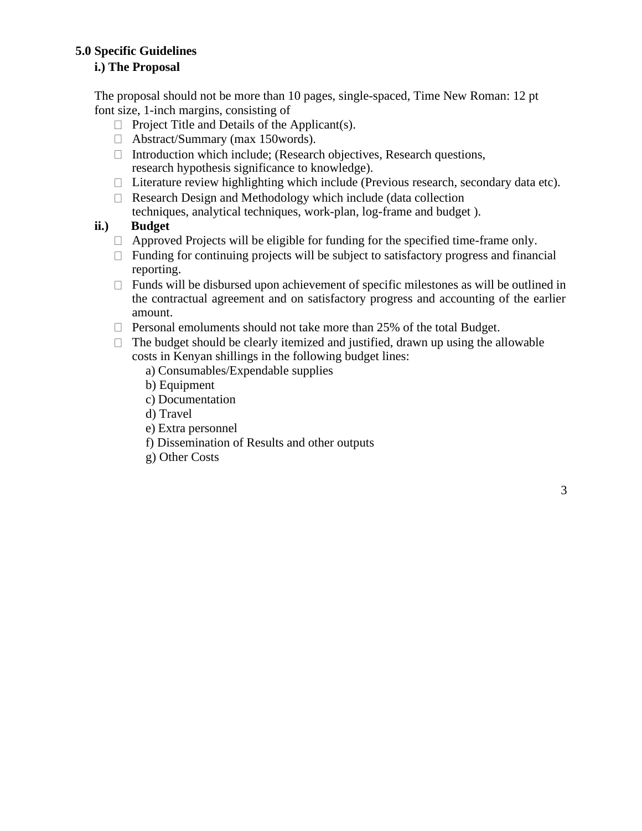### **5.0 Specific Guidelines**

# **i.) The Proposal**

The proposal should not be more than 10 pages, single-spaced, Time New Roman: 12 pt font size, 1-inch margins, consisting of

- $\Box$  Project Title and Details of the Applicant(s).
- Abstract/Summary (max 150words).
- $\Box$  Introduction which include; (Research objectives, Research questions, research hypothesis significance to knowledge).
- $\Box$  Literature review highlighting which include (Previous research, secondary data etc).
- $\Box$  Research Design and Methodology which include (data collection techniques, analytical techniques, work-plan, log-frame and budget ).

### **ii.) Budget**

- $\Box$  Approved Projects will be eligible for funding for the specified time-frame only.
- $\Box$  Funding for continuing projects will be subject to satisfactory progress and financial reporting.
- $\Box$  Funds will be disbursed upon achievement of specific milestones as will be outlined in the contractual agreement and on satisfactory progress and accounting of the earlier amount.
- $\Box$  Personal emoluments should not take more than 25% of the total Budget.
- $\Box$  The budget should be clearly itemized and justified, drawn up using the allowable costs in Kenyan shillings in the following budget lines:
	- a) Consumables/Expendable supplies
	- b) Equipment
	- c) Documentation
	- d) Travel
	- e) Extra personnel
	- f) Dissemination of Results and other outputs
	- g) Other Costs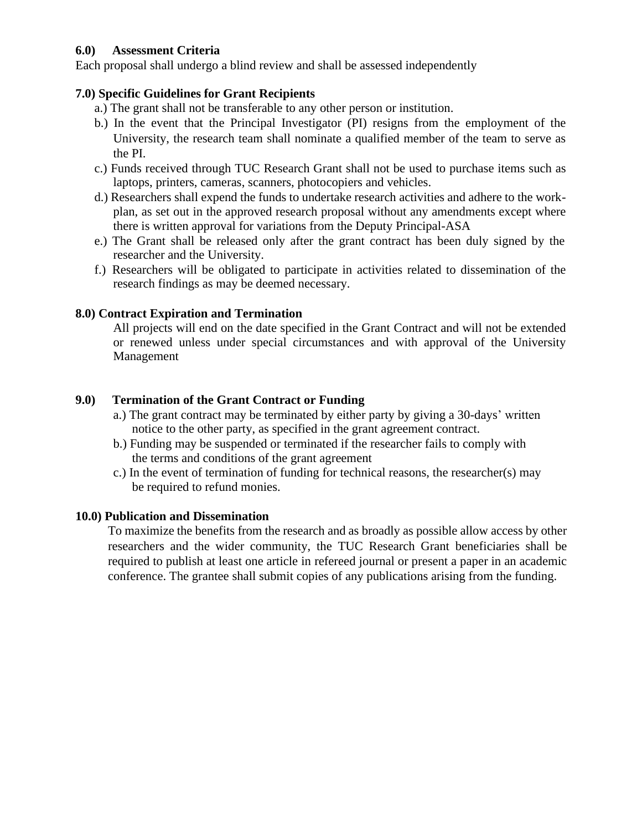### **6.0) Assessment Criteria**

Each proposal shall undergo a blind review and shall be assessed independently

#### **7.0) Specific Guidelines for Grant Recipients**

- a.) The grant shall not be transferable to any other person or institution.
- b.) In the event that the Principal Investigator (PI) resigns from the employment of the University, the research team shall nominate a qualified member of the team to serve as the PI.
- c.) Funds received through TUC Research Grant shall not be used to purchase items such as laptops, printers, cameras, scanners, photocopiers and vehicles.
- d.) Researchers shall expend the funds to undertake research activities and adhere to the workplan, as set out in the approved research proposal without any amendments except where there is written approval for variations from the Deputy Principal-ASA
- e.) The Grant shall be released only after the grant contract has been duly signed by the researcher and the University.
- f.) Researchers will be obligated to participate in activities related to dissemination of the research findings as may be deemed necessary.

#### **8.0) Contract Expiration and Termination**

All projects will end on the date specified in the Grant Contract and will not be extended or renewed unless under special circumstances and with approval of the University Management

#### **9.0) Termination of the Grant Contract or Funding**

- a.) The grant contract may be terminated by either party by giving a 30-days' written notice to the other party, as specified in the grant agreement contract.
- b.) Funding may be suspended or terminated if the researcher fails to comply with the terms and conditions of the grant agreement
- c.) In the event of termination of funding for technical reasons, the researcher(s) may be required to refund monies.

#### **10.0) Publication and Dissemination**

To maximize the benefits from the research and as broadly as possible allow access by other researchers and the wider community, the TUC Research Grant beneficiaries shall be required to publish at least one article in refereed journal or present a paper in an academic conference. The grantee shall submit copies of any publications arising from the funding.